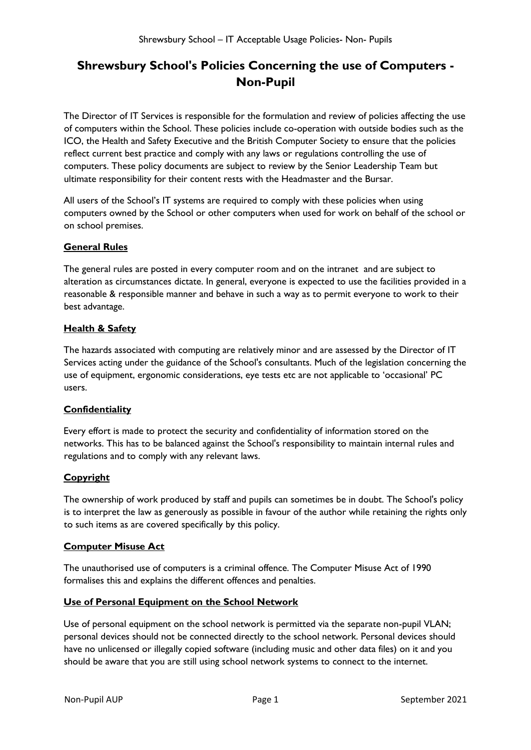### **Shrewsbury School's Policies Concerning the use of Computers - Non-Pupil**

The Director of IT Services is responsible for the formulation and review of policies affecting the use of computers within the School. These policies include co-operation with outside bodies such as the ICO, the Health and Safety Executive and the British Computer Society to ensure that the policies reflect current best practice and comply with any laws or regulations controlling the use of computers. These policy documents are subject to review by the Senior Leadership Team but ultimate responsibility for their content rests with the Headmaster and the Bursar.

All users of the School's IT systems are required to comply with these policies when using computers owned by the School or other computers when used for work on behalf of the school or on school premises.

#### **General Rules**

The general rules are posted in every computer room and on the intranet and are subject to alteration as circumstances dictate. In general, everyone is expected to use the facilities provided in a reasonable & responsible manner and behave in such a way as to permit everyone to work to their best advantage.

#### **Health & Safety**

The hazards associated with computing are relatively minor and are assessed by the Director of IT Services acting under the guidance of the School's consultants. Much of the legislation concerning the use of equipment, ergonomic considerations, eye tests etc are not applicable to 'occasional' PC users.

#### **Confidentiality**

Every effort is made to protect the security and confidentiality of information stored on the networks. This has to be balanced against the School's responsibility to maintain internal rules and regulations and to comply with any relevant laws.

#### **Copyright**

The ownership of work produced by staff and pupils can sometimes be in doubt. The School's policy is to interpret the law as generously as possible in favour of the author while retaining the rights only to such items as are covered specifically by this policy.

#### **Computer Misuse Act**

The unauthorised use of computers is a criminal offence. The Computer Misuse Act of 1990 formalises this and explains the different offences and penalties.

#### **Use of Personal Equipment on the School Network**

Use of personal equipment on the school network is permitted via the separate non-pupil VLAN; personal devices should not be connected directly to the school network. Personal devices should have no unlicensed or illegally copied software (including music and other data files) on it and you should be aware that you are still using school network systems to connect to the internet.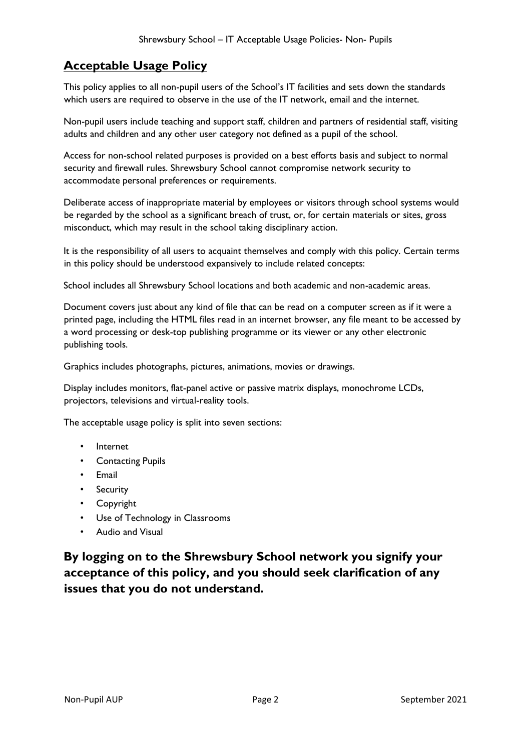# **Acceptable Usage Policy**

This policy applies to all non-pupil users of the School's IT facilities and sets down the standards which users are required to observe in the use of the IT network, email and the internet.

Non-pupil users include teaching and support staff, children and partners of residential staff, visiting adults and children and any other user category not defined as a pupil of the school.

Access for non-school related purposes is provided on a best efforts basis and subject to normal security and firewall rules. Shrewsbury School cannot compromise network security to accommodate personal preferences or requirements.

Deliberate access of inappropriate material by employees or visitors through school systems would be regarded by the school as a significant breach of trust, or, for certain materials or sites, gross misconduct, which may result in the school taking disciplinary action.

It is the responsibility of all users to acquaint themselves and comply with this policy. Certain terms in this policy should be understood expansively to include related concepts:

School includes all Shrewsbury School locations and both academic and non-academic areas.

Document covers just about any kind of file that can be read on a computer screen as if it were a printed page, including the HTML files read in an internet browser, any file meant to be accessed by a word processing or desk-top publishing programme or its viewer or any other electronic publishing tools.

Graphics includes photographs, pictures, animations, movies or drawings.

Display includes monitors, flat-panel active or passive matrix displays, monochrome LCDs, projectors, televisions and virtual-reality tools.

The acceptable usage policy is split into seven sections:

- Internet
- Contacting Pupils
- Email
- Security
- Copyright
- Use of Technology in Classrooms
- Audio and Visual

**By logging on to the Shrewsbury School network you signify your acceptance of this policy, and you should seek clarification of any issues that you do not understand.**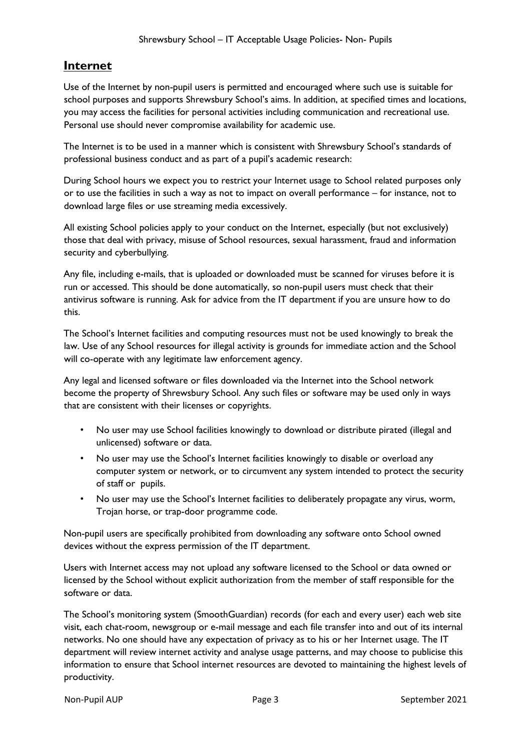### **Internet**

Use of the Internet by non-pupil users is permitted and encouraged where such use is suitable for school purposes and supports Shrewsbury School's aims. In addition, at specified times and locations, you may access the facilities for personal activities including communication and recreational use. Personal use should never compromise availability for academic use.

The Internet is to be used in a manner which is consistent with Shrewsbury School's standards of professional business conduct and as part of a pupil's academic research:

During School hours we expect you to restrict your Internet usage to School related purposes only or to use the facilities in such a way as not to impact on overall performance – for instance, not to download large files or use streaming media excessively.

All existing School policies apply to your conduct on the Internet, especially (but not exclusively) those that deal with privacy, misuse of School resources, sexual harassment, fraud and information security and cyberbullying.

Any file, including e-mails, that is uploaded or downloaded must be scanned for viruses before it is run or accessed. This should be done automatically, so non-pupil users must check that their antivirus software is running. Ask for advice from the IT department if you are unsure how to do this.

The School's Internet facilities and computing resources must not be used knowingly to break the law. Use of any School resources for illegal activity is grounds for immediate action and the School will co-operate with any legitimate law enforcement agency.

Any legal and licensed software or files downloaded via the Internet into the School network become the property of Shrewsbury School. Any such files or software may be used only in ways that are consistent with their licenses or copyrights.

- No user may use School facilities knowingly to download or distribute pirated (illegal and unlicensed) software or data.
- No user may use the School's Internet facilities knowingly to disable or overload any computer system or network, or to circumvent any system intended to protect the security of staff or pupils.
- No user may use the School's Internet facilities to deliberately propagate any virus, worm, Trojan horse, or trap-door programme code.

Non-pupil users are specifically prohibited from downloading any software onto School owned devices without the express permission of the IT department.

Users with Internet access may not upload any software licensed to the School or data owned or licensed by the School without explicit authorization from the member of staff responsible for the software or data.

The School's monitoring system (SmoothGuardian) records (for each and every user) each web site visit, each chat-room, newsgroup or e-mail message and each file transfer into and out of its internal networks. No one should have any expectation of privacy as to his or her Internet usage. The IT department will review internet activity and analyse usage patterns, and may choose to publicise this information to ensure that School internet resources are devoted to maintaining the highest levels of productivity.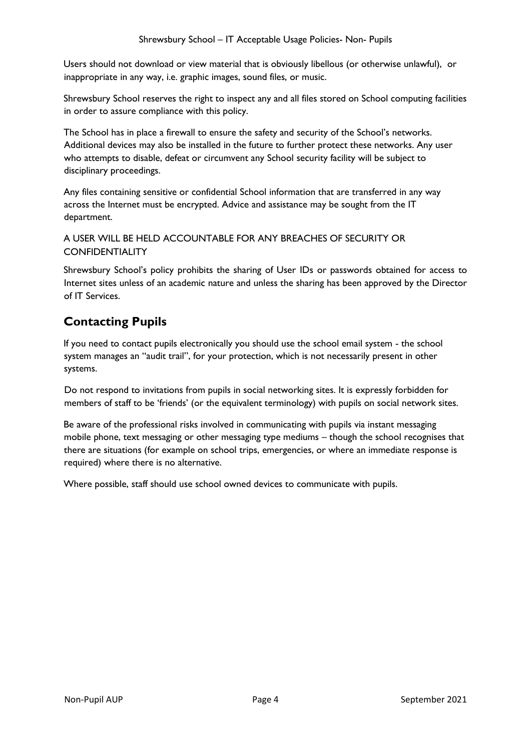Users should not download or view material that is obviously libellous (or otherwise unlawful), or inappropriate in any way, i.e. graphic images, sound files, or music.

Shrewsbury School reserves the right to inspect any and all files stored on School computing facilities in order to assure compliance with this policy.

The School has in place a firewall to ensure the safety and security of the School's networks. Additional devices may also be installed in the future to further protect these networks. Any user who attempts to disable, defeat or circumvent any School security facility will be subject to disciplinary proceedings.

Any files containing sensitive or confidential School information that are transferred in any way across the Internet must be encrypted. Advice and assistance may be sought from the IT department.

#### A USER WILL BE HELD ACCOUNTABLE FOR ANY BREACHES OF SECURITY OR **CONFIDENTIALITY**

Shrewsbury School's policy prohibits the sharing of User IDs or passwords obtained for access to Internet sites unless of an academic nature and unless the sharing has been approved by the Director of IT Services.

## **Contacting Pupils**

If you need to contact pupils electronically you should use the school email system - the school system manages an "audit trail", for your protection, which is not necessarily present in other systems.

Do not respond to invitations from pupils in social networking sites. It is expressly forbidden for members of staff to be 'friends' (or the equivalent terminology) with pupils on social network sites.

Be aware of the professional risks involved in communicating with pupils via instant messaging mobile phone, text messaging or other messaging type mediums – though the school recognises that there are situations (for example on school trips, emergencies, or where an immediate response is required) where there is no alternative.

Where possible, staff should use school owned devices to communicate with pupils.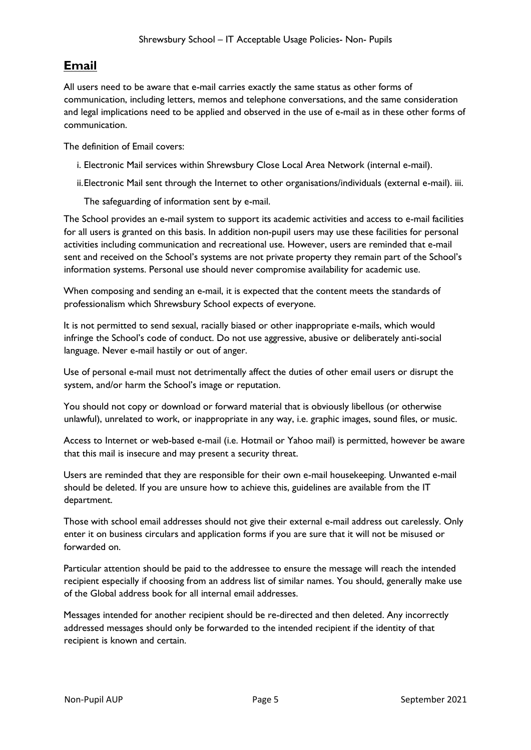### **Email**

All users need to be aware that e-mail carries exactly the same status as other forms of communication, including letters, memos and telephone conversations, and the same consideration and legal implications need to be applied and observed in the use of e-mail as in these other forms of communication.

The definition of Email covers:

- i. Electronic Mail services within Shrewsbury Close Local Area Network (internal e-mail).
- ii.Electronic Mail sent through the Internet to other organisations/individuals (external e-mail). iii.

The safeguarding of information sent by e-mail.

The School provides an e-mail system to support its academic activities and access to e-mail facilities for all users is granted on this basis. In addition non-pupil users may use these facilities for personal activities including communication and recreational use. However, users are reminded that e-mail sent and received on the School's systems are not private property they remain part of the School's information systems. Personal use should never compromise availability for academic use.

When composing and sending an e-mail, it is expected that the content meets the standards of professionalism which Shrewsbury School expects of everyone.

It is not permitted to send sexual, racially biased or other inappropriate e-mails, which would infringe the School's code of conduct. Do not use aggressive, abusive or deliberately anti-social language. Never e-mail hastily or out of anger.

Use of personal e-mail must not detrimentally affect the duties of other email users or disrupt the system, and/or harm the School's image or reputation.

You should not copy or download or forward material that is obviously libellous (or otherwise unlawful), unrelated to work, or inappropriate in any way, i.e. graphic images, sound files, or music.

Access to Internet or web-based e-mail (i.e. Hotmail or Yahoo mail) is permitted, however be aware that this mail is insecure and may present a security threat.

Users are reminded that they are responsible for their own e-mail housekeeping. Unwanted e-mail should be deleted. If you are unsure how to achieve this, guidelines are available from the IT department.

Those with school email addresses should not give their external e-mail address out carelessly. Only enter it on business circulars and application forms if you are sure that it will not be misused or forwarded on.

Particular attention should be paid to the addressee to ensure the message will reach the intended recipient especially if choosing from an address list of similar names. You should, generally make use of the Global address book for all internal email addresses.

Messages intended for another recipient should be re-directed and then deleted. Any incorrectly addressed messages should only be forwarded to the intended recipient if the identity of that recipient is known and certain.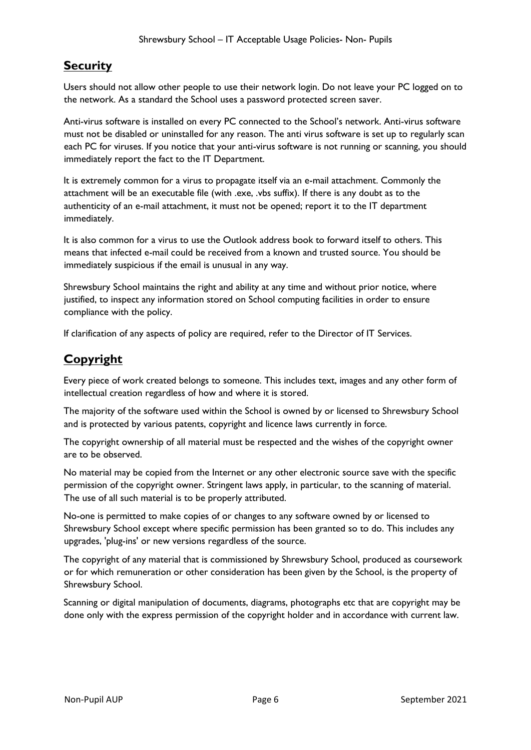### **Security**

Users should not allow other people to use their network login. Do not leave your PC logged on to the network. As a standard the School uses a password protected screen saver.

Anti-virus software is installed on every PC connected to the School's network. Anti-virus software must not be disabled or uninstalled for any reason. The anti virus software is set up to regularly scan each PC for viruses. If you notice that your anti-virus software is not running or scanning, you should immediately report the fact to the IT Department.

It is extremely common for a virus to propagate itself via an e-mail attachment. Commonly the attachment will be an executable file (with .exe, .vbs suffix). If there is any doubt as to the authenticity of an e-mail attachment, it must not be opened; report it to the IT department immediately.

It is also common for a virus to use the Outlook address book to forward itself to others. This means that infected e-mail could be received from a known and trusted source. You should be immediately suspicious if the email is unusual in any way.

Shrewsbury School maintains the right and ability at any time and without prior notice, where justified, to inspect any information stored on School computing facilities in order to ensure compliance with the policy.

If clarification of any aspects of policy are required, refer to the Director of IT Services.

### **Copyright**

Every piece of work created belongs to someone. This includes text, images and any other form of intellectual creation regardless of how and where it is stored.

The majority of the software used within the School is owned by or licensed to Shrewsbury School and is protected by various patents, copyright and licence laws currently in force.

The copyright ownership of all material must be respected and the wishes of the copyright owner are to be observed.

No material may be copied from the Internet or any other electronic source save with the specific permission of the copyright owner. Stringent laws apply, in particular, to the scanning of material. The use of all such material is to be properly attributed.

No-one is permitted to make copies of or changes to any software owned by or licensed to Shrewsbury School except where specific permission has been granted so to do. This includes any upgrades, 'plug-ins' or new versions regardless of the source.

The copyright of any material that is commissioned by Shrewsbury School, produced as coursework or for which remuneration or other consideration has been given by the School, is the property of Shrewsbury School.

Scanning or digital manipulation of documents, diagrams, photographs etc that are copyright may be done only with the express permission of the copyright holder and in accordance with current law.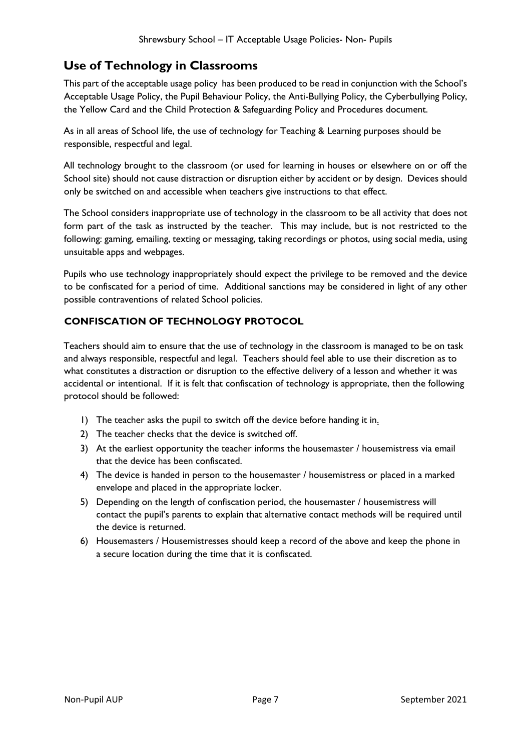### **Use of Technology in Classrooms**

This part of the acceptable usage policy has been produced to be read in conjunction with the School's Acceptable Usage Policy, the Pupil Behaviour Policy, the Anti-Bullying Policy, the Cyberbullying Policy, the Yellow Card and the Child Protection & Safeguarding Policy and Procedures document.

As in all areas of School life, the use of technology for Teaching & Learning purposes should be responsible, respectful and legal.

All technology brought to the classroom (or used for learning in houses or elsewhere on or off the School site) should not cause distraction or disruption either by accident or by design. Devices should only be switched on and accessible when teachers give instructions to that effect.

The School considers inappropriate use of technology in the classroom to be all activity that does not form part of the task as instructed by the teacher. This may include, but is not restricted to the following: gaming, emailing, texting or messaging, taking recordings or photos, using social media, using unsuitable apps and webpages.

Pupils who use technology inappropriately should expect the privilege to be removed and the device to be confiscated for a period of time. Additional sanctions may be considered in light of any other possible contraventions of related School policies.

### **CONFISCATION OF TECHNOLOGY PROTOCOL**

Teachers should aim to ensure that the use of technology in the classroom is managed to be on task and always responsible, respectful and legal. Teachers should feel able to use their discretion as to what constitutes a distraction or disruption to the effective delivery of a lesson and whether it was accidental or intentional. If it is felt that confiscation of technology is appropriate, then the following protocol should be followed:

- 1) The teacher asks the pupil to switch off the device before handing it in.
- 2) The teacher checks that the device is switched off.
- 3) At the earliest opportunity the teacher informs the housemaster / housemistress via email that the device has been confiscated.
- 4) The device is handed in person to the housemaster / housemistress or placed in a marked envelope and placed in the appropriate locker.
- 5) Depending on the length of confiscation period, the housemaster / housemistress will contact the pupil's parents to explain that alternative contact methods will be required until the device is returned.
- 6) Housemasters / Housemistresses should keep a record of the above and keep the phone in a secure location during the time that it is confiscated.